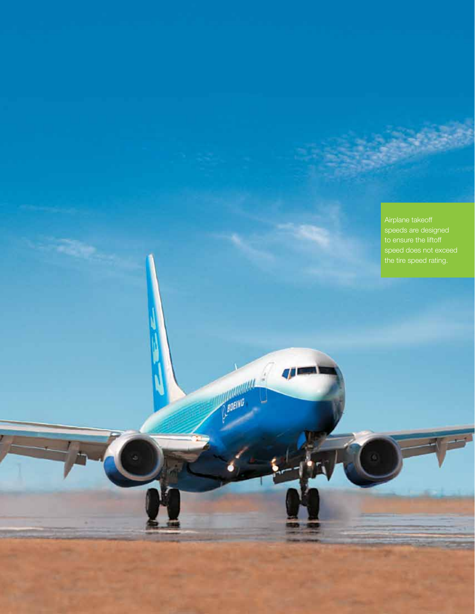Airplane takeoff speeds are designed speed does not exceed the tire speed rating.

**MARIAGEME**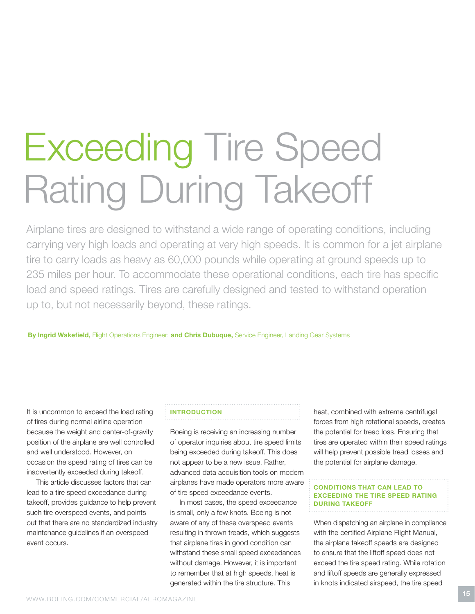# Exceeding Tire Speed Rating During Takeoff

Airplane tires are designed to withstand a wide range of operating conditions, including carrying very high loads and operating at very high speeds. It is common for a jet airplane tire to carry loads as heavy as 60,000 pounds while operating at ground speeds up to 235 miles per hour. To accommodate these operational conditions, each tire has specific load and speed ratings. Tires are carefully designed and tested to withstand operation up to, but not necessarily beyond, these ratings.

By Ingrid Wakefield, Flight Operations Engineer; and Chris Dubuque, Service Engineer, Landing Gear Systems

It is uncommon to exceed the load rating of tires during normal airline operation because the weight and center-of-gravity position of the airplane are well controlled and well understood. However, on occasion the speed rating of tires can be inadvertently exceeded during takeoff.

This article discusses factors that can lead to a tire speed exceedance during takeoff, provides guidance to help prevent such tire overspeed events, and points out that there are no standardized industry maintenance guidelines if an overspeed event occurs.

# **INTRODUCTION**

Boeing is receiving an increasing number of operator inquiries about tire speed limits being exceeded during takeoff. This does not appear to be a new issue. Rather, advanced data acquisition tools on modern airplanes have made operators more aware of tire speed exceedance events.

In most cases, the speed exceedance is small, only a few knots. Boeing is not aware of any of these overspeed events resulting in thrown treads, which suggests that airplane tires in good condition can withstand these small speed exceedances without damage. However, it is important to remember that at high speeds, heat is generated within the tire structure. This

heat, combined with extreme centrifugal forces from high rotational speeds, creates the potential for tread loss. Ensuring that tires are operated within their speed ratings will help prevent possible tread losses and the potential for airplane damage.

### Conditions That Can Lead to Exceeding the Tire Speed Rating During Takeoff

When dispatching an airplane in compliance with the certified Airplane Flight Manual, the airplane takeoff speeds are designed to ensure that the liftoff speed does not exceed the tire speed rating. While rotation and liftoff speeds are generally expressed in knots indicated airspeed, the tire speed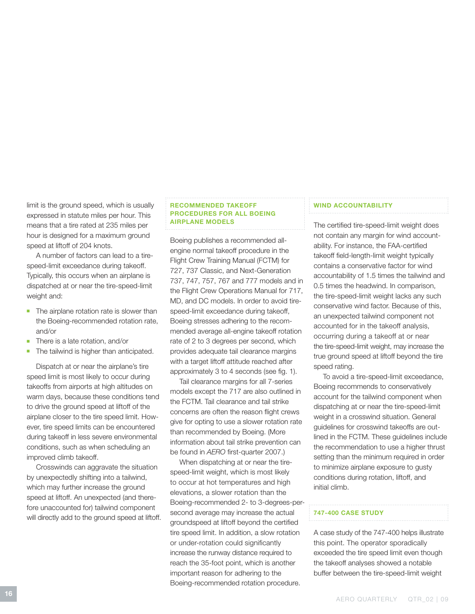limit is the ground speed, which is usually expressed in statute miles per hour. This means that a tire rated at 235 miles per hour is designed for a maximum ground speed at liftoff of 204 knots.

A number of factors can lead to a tirespeed-limit exceedance during takeoff. Typically, this occurs when an airplane is dispatched at or near the tire-speed-limit weight and:

- $\blacksquare$  The airplane rotation rate is slower than the Boeing-recommended rotation rate, and/or
- There is a late rotation, and/or
- The tailwind is higher than anticipated.

Dispatch at or near the airplane's tire speed limit is most likely to occur during takeoffs from airports at high altitudes on warm days, because these conditions tend to drive the ground speed at liftoff of the airplane closer to the tire speed limit. However, tire speed limits can be encountered during takeoff in less severe environmental conditions, such as when scheduling an improved climb takeoff.

Crosswinds can aggravate the situation by unexpectedly shifting into a tailwind, which may further increase the ground speed at liftoff. An unexpected (and therefore unaccounted for) tailwind component will directly add to the ground speed at liftoff.

#### Recommended Takeoff Procedures for all Boeing Airplane Models

Boeing publishes a recommended allengine normal takeoff procedure in the Flight Crew Training Manual (FCTM) for 727, 737 Classic, and Next-Generation 737, 747, 757, 767 and 777 models and in the Flight Crew Operations Manual for 717, MD, and DC models. In order to avoid tirespeed-limit exceedance during takeoff, Boeing stresses adhering to the recommended average all-engine takeoff rotation rate of 2 to 3 degrees per second, which provides adequate tail clearance margins with a target liftoff attitude reached after approximately 3 to 4 seconds (see fig. 1).

Tail clearance margins for all 7-series models except the 717 are also outlined in the FCTM. Tail clearance and tail strike concerns are often the reason flight crews give for opting to use a slower rotation rate than recommended by Boeing. (More information about tail strike prevention can be found in *AERO* first-quarter 2007.)

When dispatching at or near the tirespeed-limit weight, which is most likely to occur at hot temperatures and high elevations, a slower rotation than the Boeing-recommended 2- to 3-degrees-persecond average may increase the actual groundspeed at liftoff beyond the certified tire speed limit. In addition, a slow rotation or under-rotation could significantly increase the runway distance required to reach the 35-foot point, which is another important reason for adhering to the Boeing-recommended rotation procedure.

#### WIND ACCOUNTABILITY

The certified tire-speed-limit weight does not contain any margin for wind accountability. For instance, the FAA-certified takeoff field-length-limit weight typically contains a conservative factor for wind accountability of 1.5 times the tailwind and 0.5 times the headwind. In comparison, the tire-speed-limit weight lacks any such conservative wind factor. Because of this, an unexpected tailwind component not accounted for in the takeoff analysis, occurring during a takeoff at or near the tire-speed-limit weight, may increase the true ground speed at liftoff beyond the tire speed rating.

To avoid a tire-speed-limit exceedance, Boeing recommends to conservatively account for the tailwind component when dispatching at or near the tire-speed-limit weight in a crosswind situation. General guidelines for crosswind takeoffs are outlined in the FCTM. These guidelines include the recommendation to use a higher thrust setting than the minimum required in order to minimize airplane exposure to gusty conditions during rotation, liftoff, and initial climb.

#### 747-400 Case Study

A case study of the 747-400 helps illustrate this point. The operator sporadically exceeded the tire speed limit even though the takeoff analyses showed a notable buffer between the tire-speed-limit weight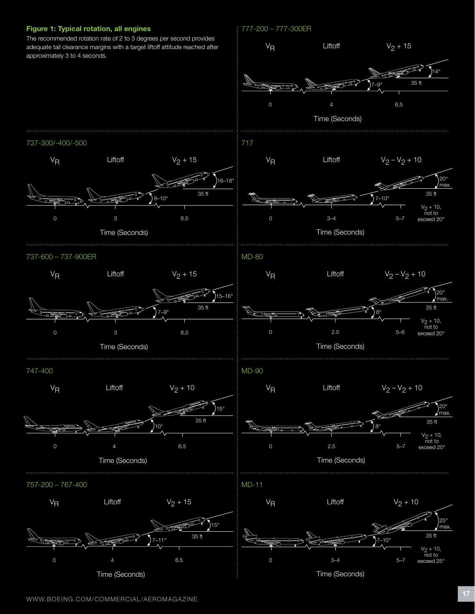## Figure 1: Typical rotation, all engines

adequate tail clearance margins with a target liftoff attitude reached after approximately 3 to 4 seconds.

# 777-200 – 777-300ER



Time (Seconds)

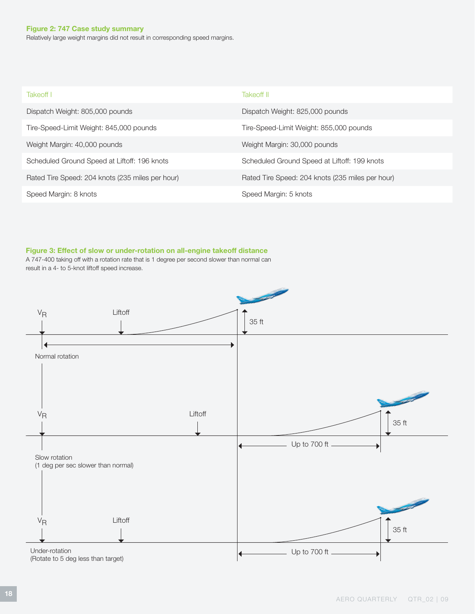### Figure 2: 747 Case study summary

Relatively large weight margins did not result in corresponding speed margins.

| Takeoff I                                        | Takeoff II                                       |
|--------------------------------------------------|--------------------------------------------------|
| Dispatch Weight: 805,000 pounds                  | Dispatch Weight: 825,000 pounds                  |
| Tire-Speed-Limit Weight: 845,000 pounds          | Tire-Speed-Limit Weight: 855,000 pounds          |
| Weight Margin: 40,000 pounds                     | Weight Margin: 30,000 pounds                     |
| Scheduled Ground Speed at Liftoff: 196 knots     | Scheduled Ground Speed at Liftoff: 199 knots     |
| Rated Tire Speed: 204 knots (235 miles per hour) | Rated Tire Speed: 204 knots (235 miles per hour) |
| Speed Margin: 8 knots                            | Speed Margin: 5 knots                            |

# Figure 3: Effect of slow or under-rotation on all-engine takeoff distance

A 747-400 taking off with a rotation rate that is 1 degree per second slower than normal can result in a 4- to 5-knot liftoff speed increase.